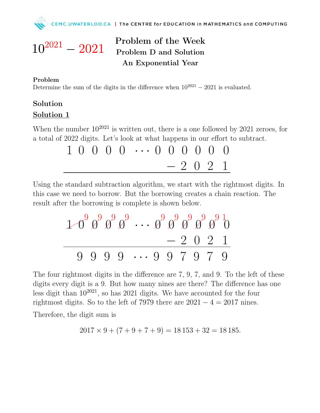

## Problem of the Week Problem D and Solution An Exponential Year

## Problem

 $10^{2021} - 2021$ 

Determine the sum of the digits in the difference when  $10^{2021} - 2021$  is evaluated.

## Solution Solution 1

When the number  $10^{2021}$  is written out, there is a one followed by 2021 zeroes, for a total of 2022 digits. Let's look at what happens in our effort to subtract.

$$
\begin{array}{c|cccc}\n1 & 0 & 0 & 0 & 0 & \cdots & 0 & 0 & 0 & 0 & 0 \\
& & & & & -2 & 0 & 2 & 1\n\end{array}
$$

Using the standard subtraction algorithm, we start with the rightmost digits. In this case we need to borrow. But the borrowing creates a chain reaction. The result after the borrowing is complete is shown below.

✟✟ ✟✟ 1 0 9 ✓ ✓0 9 ✓ ✓0 9 ✓ ✓0 9 · · · ✓ ✓0 9 ✓ ✓0 9 ✓ ✓0 9 ✓ ✓0 9 ✓ ✓0 9 1 0 − 2 0 2 1 9 9 9 9 · · · 9 9 7 9 7 9

The four rightmost digits in the difference are 7, 9, 7, and 9. To the left of these digits every digit is a 9. But how many nines are there? The difference has one less digit than  $10^{2021}$ , so has 2021 digits. We have accounted for the four rightmost digits. So to the left of 7979 there are  $2021 - 4 = 2017$  nines.

Therefore, the digit sum is

$$
2017 \times 9 + (7 + 9 + 7 + 9) = 18153 + 32 = 18185.
$$